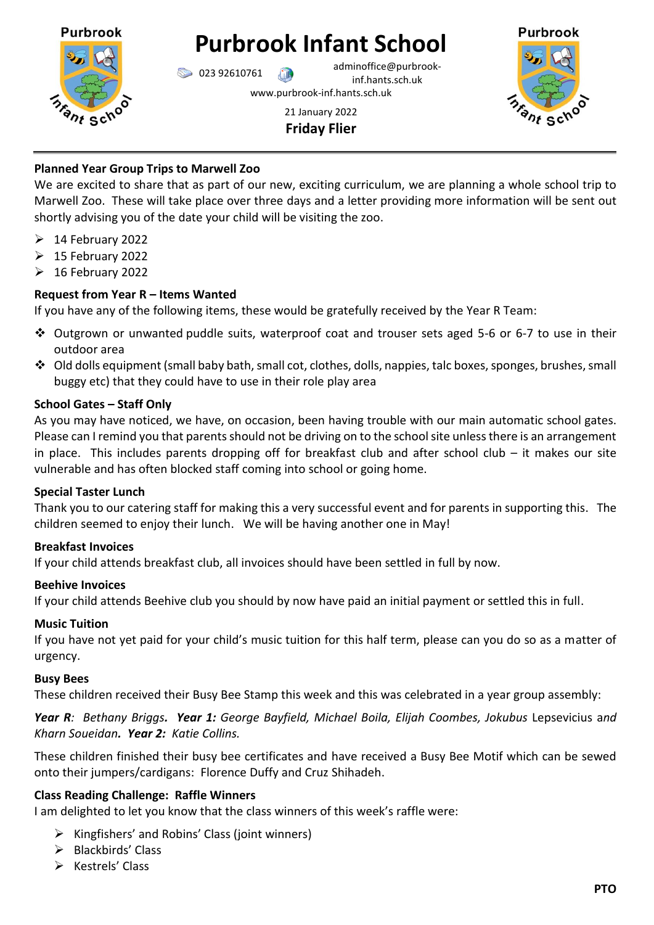

# **Purbrook Infant School**

023 92610761 adminoffice@purbrookinf.hants.sch.uk

www.purbrook-inf.hants.sch.uk

21 January 2022 **Friday Flier**



# **Planned Year Group Trips to Marwell Zoo**

We are excited to share that as part of our new, exciting curriculum, we are planning a whole school trip to Marwell Zoo. These will take place over three days and a letter providing more information will be sent out shortly advising you of the date your child will be visiting the zoo.

- $\geqslant$  14 February 2022
- $\geqslant$  15 February 2022
- $\geqslant$  16 February 2022

## **Request from Year R – Items Wanted**

If you have any of the following items, these would be gratefully received by the Year R Team:

- Outgrown or unwanted puddle suits, waterproof coat and trouser sets aged 5-6 or 6-7 to use in their outdoor area
- Old dolls equipment (small baby bath, small cot, clothes, dolls, nappies, talc boxes, sponges, brushes, small buggy etc) that they could have to use in their role play area

## **School Gates – Staff Only**

As you may have noticed, we have, on occasion, been having trouble with our main automatic school gates. Please can I remind you that parents should not be driving on to the school site unless there is an arrangement in place. This includes parents dropping off for breakfast club and after school club – it makes our site vulnerable and has often blocked staff coming into school or going home.

## **Special Taster Lunch**

Thank you to our catering staff for making this a very successful event and for parents in supporting this. The children seemed to enjoy their lunch. We will be having another one in May!

## **Breakfast Invoices**

If your child attends breakfast club, all invoices should have been settled in full by now.

## **Beehive Invoices**

If your child attends Beehive club you should by now have paid an initial payment or settled this in full.

## **Music Tuition**

If you have not yet paid for your child's music tuition for this half term, please can you do so as a matter of urgency.

#### **Busy Bees**

These children received their Busy Bee Stamp this week and this was celebrated in a year group assembly:

*Year R: Bethany Briggs. Year 1: George Bayfield, Michael Boila, Elijah Coombes, Jokubus* Lepsevicius a*nd Kharn Soueidan. Year 2: Katie Collins.*

These children finished their busy bee certificates and have received a Busy Bee Motif which can be sewed onto their jumpers/cardigans: Florence Duffy and Cruz Shihadeh.

## **Class Reading Challenge: Raffle Winners**

I am delighted to let you know that the class winners of this week's raffle were:

- $\triangleright$  Kingfishers' and Robins' Class (joint winners)
- $\triangleright$  Blackbirds' Class
- $\triangleright$  Kestrels' Class